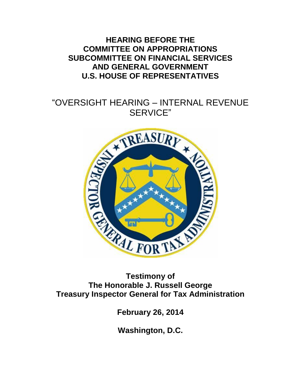**HEARING BEFORE THE COMMITTEE ON APPROPRIATIONS SUBCOMMITTEE ON FINANCIAL SERVICES AND GENERAL GOVERNMENT U.S. HOUSE OF REPRESENTATIVES**

# "OVERSIGHT HEARING – INTERNAL REVENUE



**The Honorable J. Russell George Treasury Inspector General for Tax Administration**

**February 26, 2014**

**Washington, D.C.**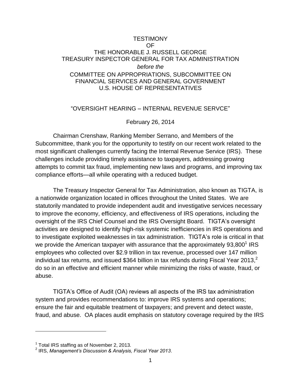#### **TESTIMONY** OF THE HONORABLE J. RUSSELL GEORGE TREASURY INSPECTOR GENERAL FOR TAX ADMINISTRATION *before the* COMMITTEE ON APPROPRIATIONS, SUBCOMMITTEE ON FINANCIAL SERVICES AND GENERAL GOVERNMENT U.S. HOUSE OF REPRESENTATIVES

#### "OVERSIGHT HEARING – INTERNAL REVENUE SERVCE"

February 26, 2014

Chairman Crenshaw, Ranking Member Serrano, and Members of the Subcommittee, thank you for the opportunity to testify on our recent work related to the most significant challenges currently facing the Internal Revenue Service (IRS). These challenges include providing timely assistance to taxpayers, addressing growing attempts to commit tax fraud, implementing new laws and programs, and improving tax compliance efforts—all while operating with a reduced budget.

The Treasury Inspector General for Tax Administration, also known as TIGTA, is a nationwide organization located in offices throughout the United States. We are statutorily mandated to provide independent audit and investigative services necessary to improve the economy, efficiency, and effectiveness of IRS operations, including the oversight of the IRS Chief Counsel and the IRS Oversight Board. TIGTA's oversight activities are designed to identify high-risk systemic inefficiencies in IRS operations and to investigate exploited weaknesses in tax administration. TIGTA's role is critical in that we provide the American taxpayer with assurance that the approximately  $93,800^1$  IRS employees who collected over \$2.9 trillion in tax revenue, processed over 147 million individual tax returns, and issued \$364 billion in tax refunds during Fiscal Year 2013, $^2$ do so in an effective and efficient manner while minimizing the risks of waste, fraud, or abuse.

TIGTA's Office of Audit (OA) reviews all aspects of the IRS tax administration system and provides recommendations to: improve IRS systems and operations; ensure the fair and equitable treatment of taxpayers; and prevent and detect waste, fraud, and abuse. OA places audit emphasis on statutory coverage required by the IRS

<sup>&</sup>lt;sup>1</sup> Total IRS staffing as of November 2, 2013.<br><sup>2</sup> IRS, *Management's Discussion & Analysis, Fiscal Year 2013.*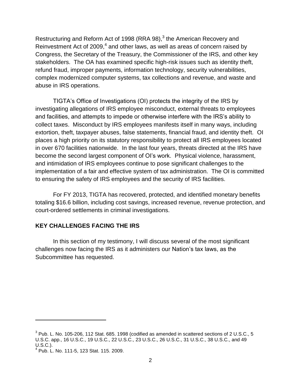Restructuring and Reform Act of 1998 (RRA 98), $3$  the American Recovery and Reinvestment Act of 2009, $^4$  and other laws, as well as areas of concern raised by Congress, the Secretary of the Treasury, the Commissioner of the IRS, and other key stakeholders. The OA has examined specific high-risk issues such as identity theft, refund fraud, improper payments, information technology, security vulnerabilities, complex modernized computer systems, tax collections and revenue, and waste and abuse in IRS operations.

TIGTA's Office of Investigations (OI) protects the integrity of the IRS by investigating allegations of IRS employee misconduct, external threats to employees and facilities, and attempts to impede or otherwise interfere with the IRS's ability to collect taxes. Misconduct by IRS employees manifests itself in many ways, including extortion, theft, taxpayer abuses, false statements, financial fraud, and identity theft. OI places a high priority on its statutory responsibility to protect all IRS employees located in over 670 facilities nationwide. In the last four years, threats directed at the IRS have become the second largest component of OI's work. Physical violence, harassment, and intimidation of IRS employees continue to pose significant challenges to the implementation of a fair and effective system of tax administration. The OI is committed to ensuring the safety of IRS employees and the security of IRS facilities.

For FY 2013, TIGTA has recovered, protected, and identified monetary benefits totaling \$16.6 billion, including cost savings, increased revenue, revenue protection, and court-ordered settlements in criminal investigations.

#### **KEY CHALLENGES FACING THE IRS**

In this section of my testimony, I will discuss several of the most significant challenges now facing the IRS as it administers our Nation's tax laws, as the Subcommittee has requested.

 $3$  Pub. L. No. 105-206, 112 Stat. 685. 1998 (codified as amended in scattered sections of 2 U.S.C., 5 U.S.C. app., 16 U.S.C., 19 U.S.C., 22 U.S.C., 23 U.S.C., 26 U.S.C., 31 U.S.C., 38 U.S.C., and 49 U.S.C.).

<sup>4</sup> Pub. L. No. 111-5, 123 Stat. 115. 2009.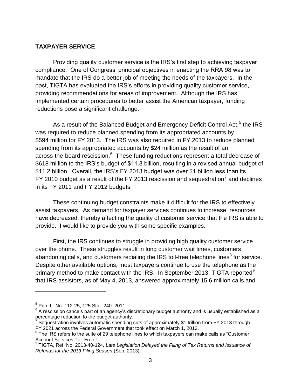#### **TAXPAYER SERVICE**

Providing quality customer service is the IRS's first step to achieving taxpayer compliance. One of Congress' principal objectives in enacting the RRA 98 was to mandate that the IRS do a better job of meeting the needs of the taxpayers. In the past, TIGTA has evaluated the IRS's efforts in providing quality customer service, providing recommendations for areas of improvement. Although the IRS has implemented certain procedures to better assist the American taxpayer, funding reductions pose a significant challenge.

As a result of the Balanced Budget and Emergency Deficit Control Act,<sup>5</sup> the IRS was required to reduce planned spending from its appropriated accounts by \$594 million for FY 2013. The IRS was also required in FY 2013 to reduce planned spending from its appropriated accounts by \$24 million as the result of an across-the-board rescission. $^6$  These funding reductions represent a total decrease of \$618 million to the IRS's budget of \$11.8 billion, resulting in a revised annual budget of \$11.2 billion. Overall, the IRS's FY 2013 budget was over \$1 billion less than its FY 2010 budget as a result of the FY 2013 rescission and sequestration<sup>7</sup> and declines in its FY 2011 and FY 2012 budgets.

These continuing budget constraints make it difficult for the IRS to effectively assist taxpayers. As demand for taxpayer services continues to increase, resources have decreased, thereby affecting the quality of customer service that the IRS is able to provide. I would like to provide you with some specific examples.

First, the IRS continues to struggle in providing high quality customer service over the phone. These struggles result in long customer wait times, customers abandoning calls, and customers redialing the IRS toll-free telephone lines<sup>8</sup> for service. Despite other available options, most taxpayers continue to use the telephone as the primary method to make contact with the IRS. In September 2013, TIGTA reported<sup>9</sup> that IRS assistors, as of May 4, 2013, answered approximately 15.6 million calls and

<sup>5</sup> Pub. L. No. 112-25, 125 Stat. 240. 2011.

 $^6$  A rescission cancels part of an agency's discretionary budget authority and is usually established as a percentage reduction to the budget authority.<br>Coguestration involves automatic aponding.

Sequestration involves automatic spending cuts of approximately \$1 trillion from FY 2013 through FY 2021 across the Federal Government that took effect on March 1, 2013.

 $8$  The IRS refers to the suite of 29 telephone lines to which taxpayers can make calls as "Customer Account Services Toll-Free." 9 TIGTA, Ref. No. 2013-40-124, *Late Legislation Delayed the Filing of Tax Returns and Issuance of* 

*Refunds for the 2013 Filing Season* (Sep. 2013).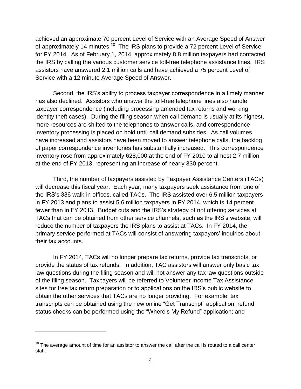achieved an approximate 70 percent Level of Service with an Average Speed of Answer of approximately 14 minutes.<sup>10</sup> The IRS plans to provide a 72 percent Level of Service for FY 2014. As of February 1, 2014, approximately 8.8 million taxpayers had contacted the IRS by calling the various customer service toll-free telephone assistance lines. IRS assistors have answered 2.1 million calls and have achieved a 75 percent Level of Service with a 12 minute Average Speed of Answer.

Second, the IRS's ability to process taxpayer correspondence in a timely manner has also declined. Assistors who answer the toll-free telephone lines also handle taxpayer correspondence (including processing amended tax returns and working identity theft cases). During the filing season when call demand is usually at its highest, more resources are shifted to the telephones to answer calls, and correspondence inventory processing is placed on hold until call demand subsides. As call volumes have increased and assistors have been moved to answer telephone calls, the backlog of paper correspondence inventories has substantially increased. This correspondence inventory rose from approximately 628,000 at the end of FY 2010 to almost 2.7 million at the end of FY 2013, representing an increase of nearly 330 percent.

Third, the number of taxpayers assisted by Taxpayer Assistance Centers (TACs) will decrease this fiscal year. Each year, many taxpayers seek assistance from one of the IRS's 386 walk-in offices, called TACs. The IRS assisted over 6.5 million taxpayers in FY 2013 and plans to assist 5.6 million taxpayers in FY 2014, which is 14 percent fewer than in FY 2013. Budget cuts and the IRS's strategy of not offering services at TACs that can be obtained from other service channels, such as the IRS's website, will reduce the number of taxpayers the IRS plans to assist at TACs. In FY 2014, the primary service performed at TACs will consist of answering taxpayers' inquiries about their tax accounts.

In FY 2014, TACs will no longer prepare tax returns, provide tax transcripts, or provide the status of tax refunds. In addition, TAC assistors will answer only basic tax law questions during the filing season and will not answer any tax law questions outside of the filing season. Taxpayers will be referred to Volunteer Income Tax Assistance sites for free tax return preparation or to applications on the IRS's public website to obtain the other services that TACs are no longer providing. For example, tax transcripts can be obtained using the new online "Get Transcript" application; refund status checks can be performed using the "Where's My Refund" application; and

 $10$  The average amount of time for an assistor to answer the call after the call is routed to a call center staff.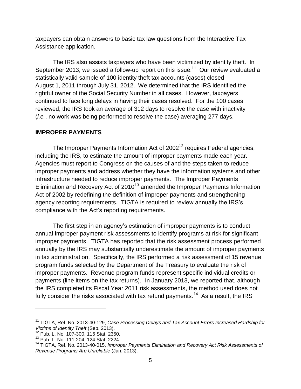taxpayers can obtain answers to basic tax law questions from the Interactive Tax Assistance application.

The IRS also assists taxpayers who have been victimized by identity theft. In September 2013, we issued a follow-up report on this issue.<sup>11</sup> Our review evaluated a statistically valid sample of 100 identity theft tax accounts (cases) closed August 1, 2011 through July 31, 2012. We determined that the IRS identified the rightful owner of the Social Security Number in all cases. However, taxpayers continued to face long delays in having their cases resolved. For the 100 cases reviewed, the IRS took an average of 312 days to resolve the case with inactivity (*i.e.*, no work was being performed to resolve the case) averaging 277 days.

#### **IMPROPER PAYMENTS**

The Improper Payments Information Act of  $2002^{12}$  requires Federal agencies, including the IRS, to estimate the amount of improper payments made each year. Agencies must report to Congress on the causes of and the steps taken to reduce improper payments and address whether they have the information systems and other infrastructure needed to reduce improper payments. The Improper Payments Elimination and Recovery Act of  $2010^{13}$  amended the Improper Payments Information Act of 2002 by redefining the definition of improper payments and strengthening agency reporting requirements. TIGTA is required to review annually the IRS's compliance with the Act's reporting requirements.

The first step in an agency's estimation of improper payments is to conduct annual improper payment risk assessments to identify programs at risk for significant improper payments. TIGTA has reported that the risk assessment process performed annually by the IRS may substantially underestimate the amount of improper payments in tax administration. Specifically, the IRS performed a risk assessment of 15 revenue program funds selected by the Department of the Treasury to evaluate the risk of improper payments. Revenue program funds represent specific individual credits or payments (line items on the tax returns). In January 2013, we reported that, although the IRS completed its Fiscal Year 2011 risk assessments, the method used does not fully consider the risks associated with tax refund payments.<sup>14</sup> As a result, the IRS

<sup>&</sup>lt;sup>11</sup> TIGTA, Ref. No. 2013-40-129, *Case Processing Delays and Tax Account Errors Increased Hardship for Victims of Identity Theft* (Sep. 2013).

<sup>12</sup> Pub. L. No. 107-300, 116 Stat. 2350.

<sup>13</sup> Pub. L. No. 111-204, 124 Stat. 2224.

<sup>&</sup>lt;sup>14</sup> TIGTA, Ref. No. 2013-40-015, *Improper Payments Elimination and Recovery Act Risk Assessments of Revenue Programs Are Unreliable* (Jan. 2013).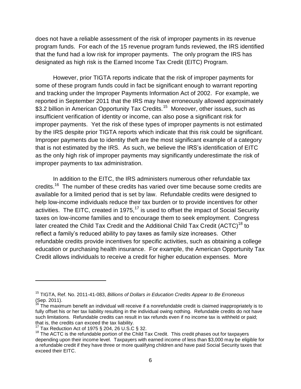does not have a reliable assessment of the risk of improper payments in its revenue program funds. For each of the 15 revenue program funds reviewed, the IRS identified that the fund had a low risk for improper payments. The only program the IRS has designated as high risk is the Earned Income Tax Credit (EITC) Program.

However, prior TIGTA reports indicate that the risk of improper payments for some of these program funds could in fact be significant enough to warrant reporting and tracking under the Improper Payments Information Act of 2002. For example, we reported in September 2011 that the IRS may have erroneously allowed approximately \$3.2 billion in American Opportunity Tax Credits.<sup>15</sup> Moreover, other issues, such as insufficient verification of identity or income, can also pose a significant risk for improper payments. Yet the risk of these types of improper payments is not estimated by the IRS despite prior TIGTA reports which indicate that this risk could be significant. Improper payments due to identity theft are the most significant example of a category that is not estimated by the IRS. As such, we believe the IRS's identification of EITC as the only high risk of improper payments may significantly underestimate the risk of improper payments to tax administration.

In addition to the EITC, the IRS administers numerous other refundable tax credits.<sup>16</sup> The number of these credits has varied over time because some credits are available for a limited period that is set by law. Refundable credits were designed to help low-income individuals reduce their tax burden or to provide incentives for other activities. The EITC, created in 1975,  $17$  is used to offset the impact of Social Security taxes on low-income families and to encourage them to seek employment. Congress later created the Child Tax Credit and the Additional Child Tax Credit  $(ACTC)^{18}$  to reflect a family's reduced ability to pay taxes as family size increases. Other refundable credits provide incentives for specific activities, such as obtaining a college education or purchasing health insurance. For example, the American Opportunity Tax Credit allows individuals to receive a credit for higher education expenses. More

<sup>15</sup> TIGTA, Ref. No. 2011-41-083, *Billions of Dollars in Education Credits Appear to Be Erroneous*   $($ Sep. 2011).

The maximum benefit an individual will receive if a nonrefundable credit is claimed inappropriately is to fully offset his or her tax liability resulting in the individual owing nothing. Refundable credits do not have such limitations. Refundable credits can result in tax refunds even if no income tax is withheld or paid; that is, the credits can exceed the tax liability.

<sup>&</sup>lt;sup>17</sup> Tax Reduction Act of 1975 § 204, 26 U.S.C § 32.

 $18$  The ACTC is the refundable portion of the Child Tax Credit. This credit phases out for taxpayers depending upon their income level. Taxpayers with earned income of less than \$3,000 may be eligible for a refundable credit if they have three or more qualifying children and have paid Social Security taxes that exceed their EITC.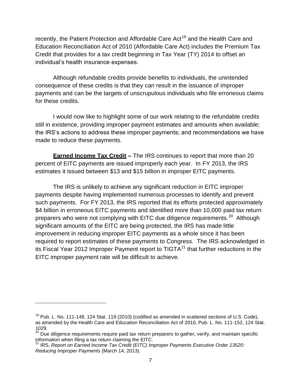recently, the Patient Protection and Affordable Care Act<sup>19</sup> and the Health Care and Education Reconciliation Act of 2010 (Affordable Care Act) includes the Premium Tax Credit that provides for a tax credit beginning in Tax Year (TY) 2014 to offset an individual's health insurance expenses.

Although refundable credits provide benefits to individuals, the unintended consequence of these credits is that they can result in the issuance of improper payments and can be the targets of unscrupulous individuals who file erroneous claims for these credits.

I would now like to highlight some of our work relating to the refundable credits still in existence, providing improper payment estimates and amounts when available; the IRS's actions to address these improper payments; and recommendations we have made to reduce these payments.

**Earned Income Tax Credit –** The IRS continues to report that more than 20 percent of EITC payments are issued improperly each year. In FY 2013, the IRS estimates it issued between \$13 and \$15 billion in improper EITC payments.

The IRS is unlikely to achieve any significant reduction in EITC improper payments despite having implemented numerous processes to identify and prevent such payments. For FY 2013, the IRS reported that its efforts protected approximately \$4 billion in erroneous EITC payments and identified more than 10,000 paid tax return preparers who were not complying with EITC due diligence requirements.<sup>20</sup> Although significant amounts of the EITC are being protected, the IRS has made little improvement in reducing improper EITC payments as a whole since it has been required to report estimates of these payments to Congress. The IRS acknowledged in its Fiscal Year 2012 Improper Payment report to  $TIGTA<sup>21</sup>$  that further reductions in the EITC improper payment rate will be difficult to achieve.

 $19$  Pub. L. No. 111-148, 124 Stat. 119 (2010) (codified as amended in scattered sections of U.S. Code), as amended by the Health Care and Education Reconciliation Act of 2010, Pub. L. No. 111-152, 124 Stat. 1029.

<sup>&</sup>lt;sup>20</sup> Due diligence requirements require paid tax return preparers to gather, verify, and maintain specific information when filing a tax return claiming the EITC.

<sup>21</sup> IRS, *Report on Earned Income Tax Credit (EITC) Improper Payments Executive Order 13520: Reducing Improper Payments* (March 14, 2013).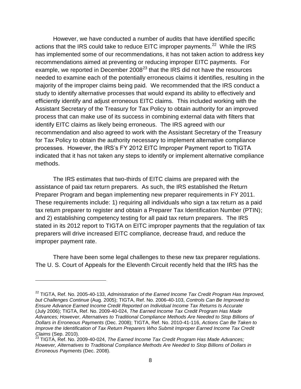However, we have conducted a number of audits that have identified specific actions that the IRS could take to reduce EITC improper payments.<sup>22</sup> While the IRS has implemented some of our recommendations, it has not taken action to address key recommendations aimed at preventing or reducing improper EITC payments. For example, we reported in December  $2008^{23}$  that the IRS did not have the resources needed to examine each of the potentially erroneous claims it identifies, resulting in the majority of the improper claims being paid. We recommended that the IRS conduct a study to identify alternative processes that would expand its ability to effectively and efficiently identify and adjust erroneous EITC claims. This included working with the Assistant Secretary of the Treasury for Tax Policy to obtain authority for an improved process that can make use of its success in combining external data with filters that identify EITC claims as likely being erroneous. The IRS agreed with our recommendation and also agreed to work with the Assistant Secretary of the Treasury for Tax Policy to obtain the authority necessary to implement alternative compliance processes. However, the IRS's FY 2012 EITC Improper Payment report to TIGTA indicated that it has not taken any steps to identify or implement alternative compliance methods.

The IRS estimates that two-thirds of EITC claims are prepared with the assistance of paid tax return preparers. As such, the IRS established the Return Preparer Program and began implementing new preparer requirements in FY 2011. These requirements include: 1) requiring all individuals who sign a tax return as a paid tax return preparer to register and obtain a Preparer Tax Identification Number (PTIN); and 2) establishing competency testing for all paid tax return preparers. The IRS stated in its 2012 report to TIGTA on EITC improper payments that the regulation of tax preparers will drive increased EITC compliance, decrease fraud, and reduce the improper payment rate.

There have been some legal challenges to these new tax preparer regulations. The U. S. Court of Appeals for the Eleventh Circuit recently held that the IRS has the

<sup>&</sup>lt;sup>22</sup> TIGTA, Ref. No. 2005-40-133, *Administration of the Earned Income Tax Credit Program Has Improved, but Challenges Continue* (Aug. 2005); TIGTA, Ref. No. 2006-40-103, *Controls Can Be Improved to Ensure Advance Earned Income Credit Reported on Individual Income Tax Returns Is Accurate* (July 2006); TIGTA, Ref. No. 2009-40-024, *The Earned Income Tax Credit Program Has Made Advances; However, Alternatives to Traditional Compliance Methods Are Needed to Stop Billions of Dollars in Erroneous Payments* (Dec. 2008); TIGTA, Ref. No. 2010-41-116, *Actions Can Be Taken to Improve the Identification of Tax Return Preparers Who Submit Improper Earned Income Tax Credit Claims* (Sep. 2010).

<sup>&</sup>lt;sup>23</sup> TIGTA, Ref. No. 2009-40-024, *The Earned Income Tax Credit Program Has Made Advances; However, Alternatives to Traditional Compliance Methods Are Needed to Stop Billions of Dollars in Erroneous Payments* (Dec. 2008).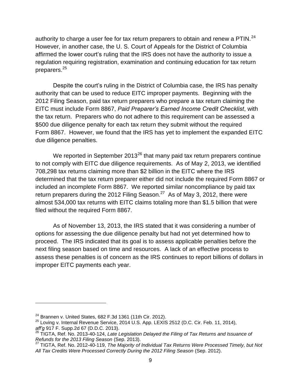authority to charge a user fee for tax return preparers to obtain and renew a PTIN. $^{24}$ However, in another case, the U. S. Court of Appeals for the District of Columbia affirmed the lower court's ruling that the IRS does not have the authority to issue a regulation requiring registration, examination and continuing education for tax return preparers.<sup>25</sup>

Despite the court's ruling in the District of Columbia case, the IRS has penalty authority that can be used to reduce EITC improper payments. Beginning with the 2012 Filing Season, paid tax return preparers who prepare a tax return claiming the EITC must include Form 8867, *Paid Preparer's Earned Income Credit Checklist*, with the tax return. Preparers who do not adhere to this requirement can be assessed a \$500 due diligence penalty for each tax return they submit without the required Form 8867. However, we found that the IRS has yet to implement the expanded EITC due diligence penalties.

We reported in September 2013 $^{26}$  that many paid tax return preparers continue to not comply with EITC due diligence requirements. As of May 2, 2013, we identified 708,298 tax returns claiming more than \$2 billion in the EITC where the IRS determined that the tax return preparer either did not include the required Form 8867 or included an incomplete Form 8867. We reported similar noncompliance by paid tax return preparers during the 2012 Filing Season.<sup>27</sup> As of May 3, 2012, there were almost 534,000 tax returns with EITC claims totaling more than \$1.5 billion that were filed without the required Form 8867.

As of November 13, 2013, the IRS stated that it was considering a number of options for assessing the due diligence penalty but had not yet determined how to proceed. The IRS indicated that its goal is to assess applicable penalties before the next filing season based on time and resources. A lack of an effective process to assess these penalties is of concern as the IRS continues to report billions of dollars in improper EITC payments each year.

 $24$  Brannen v. United States, 682 F.3d 1361 (11th Cir. 2012).

 $^{25}$  Loving v. Internal Revenue Service, 2014 U.S. App. LEXIS 2512 (D.C. Cir. Feb. 11, 2014), *aff'g* 917 F. Supp.2d 67 (D.D.C. 2013).

<sup>26</sup> TIGTA, Ref. No. 2013-40-124, *Late Legislation Delayed the Filing of Tax Returns and Issuance of Refunds for the 2013 Filing Season* (Sep. 2013).

<sup>27</sup> TIGTA, Ref. No. 2012-40-119, *The Majority of Individual Tax Returns Were Processed Timely, but Not All Tax Credits Were Processed Correctly During the 2012 Filing Season* (Sep. 2012).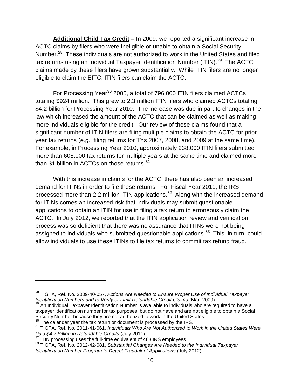**Additional Child Tax Credit –** In 2009, we reported a significant increase in ACTC claims by filers who were ineligible or unable to obtain a Social Security Number.<sup>28</sup> These individuals are not authorized to work in the United States and filed tax returns using an Individual Taxpayer Identification Number (ITIN).<sup>29</sup> The ACTC claims made by these filers have grown substantially. While ITIN filers are no longer eligible to claim the EITC, ITIN filers can claim the ACTC.

For Processing Year<sup>30</sup> 2005, a total of 796,000 ITIN filers claimed ACTCs totaling \$924 million. This grew to 2.3 million ITIN filers who claimed ACTCs totaling \$4.2 billion for Processing Year 2010. The increase was due in part to changes in the law which increased the amount of the ACTC that can be claimed as well as making more individuals eligible for the credit. Our review of these claims found that a significant number of ITIN filers are filing multiple claims to obtain the ACTC for prior year tax returns (*e.g.*, filing returns for TYs 2007, 2008, and 2009 at the same time). For example, in Processing Year 2010, approximately 238,000 ITIN filers submitted more than 608,000 tax returns for multiple years at the same time and claimed more than \$1 billion in ACTCs on those returns.<sup>31</sup>

With this increase in claims for the ACTC, there has also been an increased demand for ITINs in order to file these returns. For Fiscal Year 2011, the IRS processed more than 2.2 million ITIN applications.<sup>32</sup> Along with the increased demand for ITINs comes an increased risk that individuals may submit questionable applications to obtain an ITIN for use in filing a tax return to erroneously claim the ACTC. In July 2012, we reported that the ITIN application review and verification process was so deficient that there was no assurance that ITINs were not being assigned to individuals who submitted questionable applications.<sup>33</sup> This, in turn, could allow individuals to use these ITINs to file tax returns to commit tax refund fraud.

<sup>28</sup> TIGTA, Ref. No. 2009-40-057, *Actions Are Needed to Ensure Proper Use of Individual Taxpayer Identification Numbers and to Verify or Limit Refundable Credit Claims* (Mar. 2009).

 $^9$  An Individual Taxpayer Identification Number is available to individuals who are required to have a taxpayer identification number for tax purposes, but do not have and are not eligible to obtain a Social Security Number because they are not authorized to work in the United States.

 $30$  The calendar year the tax return or document is processed by the IRS.

<sup>31</sup> TIGTA, Ref. No. 2011-41-061, *Individuals Who Are Not Authorized to Work in the United States Were Paid \$4.2 Billion in Refundable Credits* (July 2011).

Fall \$4.2 Different in North above Creative Care, 2011, 2011, 2013.<br><sup>32</sup> ITIN processing uses the full-time equivalent of 463 IRS employees.

<sup>33</sup> TIGTA, Ref. No. 2012-42-081, *Substantial Changes Are Needed to the Individual Taxpayer Identification Number Program to Detect Fraudulent Applications* (July 2012).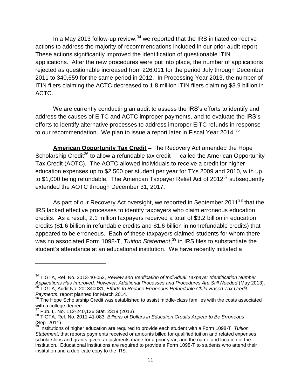In a May 2013 follow-up review,  $34$  we reported that the IRS initiated corrective actions to address the majority of recommendations included in our prior audit report. These actions significantly improved the identification of questionable ITIN applications. After the new procedures were put into place, the number of applications rejected as questionable increased from 226,011 for the period July through December 2011 to 340,659 for the same period in 2012. In Processing Year 2013, the number of ITIN filers claiming the ACTC decreased to 1.8 million ITIN filers claiming \$3.9 billion in ACTC.

We are currently conducting an audit to assess the IRS's efforts to identify and address the causes of EITC and ACTC improper payments, and to evaluate the IRS's efforts to identify alternative processes to address improper EITC refunds in response to our recommendation. We plan to issue a report later in Fiscal Year 2014.<sup>35</sup>

**American Opportunity Tax Credit –** The Recovery Act amended the Hope Scholarship Credit<sup>36</sup> to allow a refundable tax credit — called the American Opportunity Tax Credit (AOTC). The AOTC allowed individuals to receive a credit for higher education expenses up to \$2,500 per student per year for TYs 2009 and 2010, with up to \$1,000 being refundable. The American Taxpayer Relief Act of  $2012^{37}$  subsequently extended the AOTC through December 31, 2017.

As part of our Recovery Act oversight, we reported in September 2011<sup>38</sup> that the IRS lacked effective processes to identify taxpayers who claim erroneous education credits. As a result, 2.1 million taxpayers received a total of \$3.2 billion in education credits (\$1.6 billion in refundable credits and \$1.6 billion in nonrefundable credits) that appeared to be erroneous. Each of these taxpayers claimed students for whom there was no associated Form 1098-T, *Tuition Statement*, <sup>39</sup> in IRS files to substantiate the student's attendance at an educational institution. We have recently initiated a

<sup>34</sup> TIGTA, Ref. No. 2013-40-052, *Review and Verification of Individual Taxpayer Identification Number Applications Has Improved, However, Additional Processes and Procedures Are Still Needed* (May 2013). <sup>35</sup> TIGTA, Audit No. 201340031, *Efforts to Reduce Erroneous Refundable Child-Based Tax Credit Payments*, report planned for March 2014.

 $36$  The Hope Scholarship Credit was established to assist middle-class families with the costs associated with a college degree.

 $37$  Pub. L. No. 112-240,126 Stat. 2319 (2013).

<sup>38</sup> TIGTA*,* Ref. No. 2011-41-083, *Billions of Dollars in Education Credits Appear to Be Erroneous* (Sep. 2011).

<sup>39</sup> Institutions of higher education are required to provide each student with a Form 1098-T, *Tuition Statement*, that reports payments received or amounts billed for qualified tuition and related expenses, scholarships and grants given, adjustments made for a prior year, and the name and location of the institution. Educational institutions are required to provide a Form 1098-T to students who attend their institution and a duplicate copy to the IRS.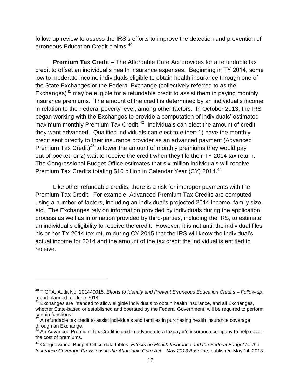follow-up review to assess the IRS's efforts to improve the detection and prevention of erroneous Education Credit claims.<sup>40</sup>

**Premium Tax Credit –** The Affordable Care Act provides for a refundable tax credit to offset an individual's health insurance expenses. Beginning in TY 2014, some low to moderate income individuals eligible to obtain health insurance through one of the State Exchanges or the Federal Exchange (collectively referred to as the Exchanges)<sup>41</sup> may be eligible for a refundable credit to assist them in paying monthly insurance premiums. The amount of the credit is determined by an individual's income in relation to the Federal poverty level, among other factors. In October 2013, the IRS began working with the Exchanges to provide a computation of individuals' estimated maximum monthly Premium Tax Credit.<sup>42</sup> Individuals can elect the amount of credit they want advanced. Qualified individuals can elect to either: 1) have the monthly credit sent directly to their insurance provider as an advanced payment (Advanced Premium Tax Credit)<sup>43</sup> to lower the amount of monthly premiums they would pay out-of-pocket; or 2) wait to receive the credit when they file their TY 2014 tax return. The Congressional Budget Office estimates that six million individuals will receive Premium Tax Credits totaling \$16 billion in Calendar Year (CY) 2014.<sup>44</sup>

Like other refundable credits, there is a risk for improper payments with the Premium Tax Credit. For example, Advanced Premium Tax Credits are computed using a number of factors, including an individual's projected 2014 income, family size, etc. The Exchanges rely on information provided by individuals during the application process as well as information provided by third-parties, including the IRS, to estimate an individual's eligibility to receive the credit. However, it is not until the individual files his or her TY 2014 tax return during CY 2015 that the IRS will know the individual's actual income for 2014 and the amount of the tax credit the individual is entitled to receive.

<sup>40</sup> TIGTA, Audit No. 201440015, *Efforts to Identify and Prevent Erroneous Education Credits – Follow-up*, report planned for June 2014.<br><sup>41</sup> Exebs.

<sup>41</sup> Exchanges are intended to allow eligible individuals to obtain health insurance, and all Exchanges, whether State-based or established and operated by the Federal Government, will be required to perform certain functions.

 $42$  A refundable tax credit to assist individuals and families in purchasing health insurance coverage through an Exchange.

 $^{43}$  An Advanced Premium Tax Credit is paid in advance to a taxpayer's insurance company to help cover the cost of premiums.

<sup>44</sup> Congressional Budget Office data tables, *Effects on Health Insurance and the Federal Budget for the Insurance Coverage Provisions in the Affordable Care Act—May 2013 Baseline*, published May 14, 2013.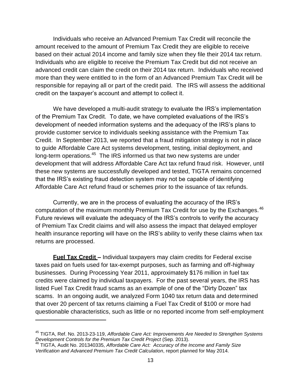Individuals who receive an Advanced Premium Tax Credit will reconcile the amount received to the amount of Premium Tax Credit they are eligible to receive based on their actual 2014 income and family size when they file their 2014 tax return. Individuals who are eligible to receive the Premium Tax Credit but did not receive an advanced credit can claim the credit on their 2014 tax return. Individuals who received more than they were entitled to in the form of an Advanced Premium Tax Credit will be responsible for repaying all or part of the credit paid. The IRS will assess the additional credit on the taxpayer's account and attempt to collect it.

We have developed a multi-audit strategy to evaluate the IRS's implementation of the Premium Tax Credit. To date, we have completed evaluations of the IRS's development of needed information systems and the adequacy of the IRS's plans to provide customer service to individuals seeking assistance with the Premium Tax Credit. In September 2013, we reported that a fraud mitigation strategy is not in place to guide Affordable Care Act systems development, testing, initial deployment, and long-term operations.<sup>45</sup> The IRS informed us that two new systems are under development that will address Affordable Care Act tax refund fraud risk. However, until these new systems are successfully developed and tested, TIGTA remains concerned that the IRS's existing fraud detection system may not be capable of identifying Affordable Care Act refund fraud or schemes prior to the issuance of tax refunds.

Currently, we are in the process of evaluating the accuracy of the IRS's computation of the maximum monthly Premium Tax Credit for use by the Exchanges.  $46$ Future reviews will evaluate the adequacy of the IRS's controls to verify the accuracy of Premium Tax Credit claims and will also assess the impact that delayed employer health insurance reporting will have on the IRS's ability to verify these claims when tax returns are processed.

**Fuel Tax Credit –** Individual taxpayers may claim credits for Federal excise taxes paid on fuels used for tax-exempt purposes, such as farming and off-highway businesses. During Processing Year 2011, approximately \$176 million in fuel tax credits were claimed by individual taxpayers. For the past several years, the IRS has listed Fuel Tax Credit fraud scams as an example of one of the "Dirty Dozen" tax scams. In an ongoing audit, we analyzed Form 1040 tax return data and determined that over 20 percent of tax returns claiming a Fuel Tax Credit of \$100 or more had questionable characteristics, such as little or no reported income from self-employment

<sup>45</sup> TIGTA, Ref. No. 2013-23-119, *Affordable Care Act: Improvements Are Needed to Strengthen Systems Development Controls for the Premium Tax Credit Project* (Sep. 2013).

<sup>46</sup> TIGTA, Audit No. 201340335, *Affordable Care Act: Accuracy of the Income and Family Size Verification and Advanced Premium Tax Credit Calculation*, report planned for May 2014.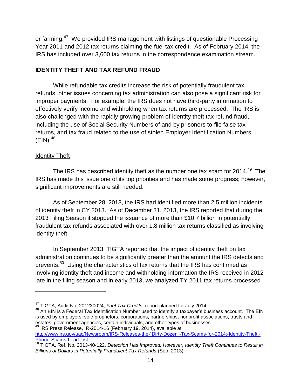or farming.<sup>47</sup> We provided IRS management with listings of questionable Processing Year 2011 and 2012 tax returns claiming the fuel tax credit. As of February 2014, the IRS has included over 3,600 tax returns in the correspondence examination stream.

#### **IDENTITY THEFT AND TAX REFUND FRAUD**

While refundable tax credits increase the risk of potentially fraudulent tax refunds, other issues concerning tax administration can also pose a significant risk for improper payments. For example, the IRS does not have third-party information to effectively verify income and withholding when tax returns are processed. The IRS is also challenged with the rapidly growing problem of identity theft tax refund fraud, including the use of Social Security Numbers of and by prisoners to file false tax returns, and tax fraud related to the use of stolen Employer Identification Numbers  $(EIN).^{48}$ 

#### Identity Theft

 $\overline{a}$ 

The IRS has described identity theft as the number one tax scam for 2014.<sup>49</sup> The IRS has made this issue one of its top priorities and has made some progress; however, significant improvements are still needed.

As of September 28, 2013, the IRS had identified more than 2.5 million incidents of identity theft in CY 2013. As of December 31, 2013, the IRS reported that during the 2013 Filing Season it stopped the issuance of more than \$10.7 billion in potentially fraudulent tax refunds associated with over 1.8 million tax returns classified as involving identity theft.

In September 2013, TIGTA reported that the impact of identity theft on tax administration continues to be significantly greater than the amount the IRS detects and prevents. $^{50}$  Using the characteristics of tax returns that the IRS has confirmed as involving identity theft and income and withholding information the IRS received in 2012 late in the filing season and in early 2013, we analyzed TY 2011 tax returns processed

<sup>47</sup> TIGTA, Audit No. 201230024, *Fuel Tax Credits*, report planned for July 2014.

<sup>&</sup>lt;sup>48</sup> An EIN is a Federal Tax Identification Number used to identify a taxpayer's business account. The EIN is used by employers, sole proprietors, corporations, partnerships, nonprofit associations, trusts and estates, government agencies, certain individuals, and other types of businesses.

<sup>49</sup> IRS Press Release, IR-2014-16 (February 19, 2014), available at [http://www.irs.gov/uac/Newsroom/IRS-Releases-the-"Dirty-Dozen"-Tax-Scams-for-2014;-Identity-Theft,-](http://www.irs.gov/uac/Newsroom/IRS-Releases-the-) [Phone-Scams-Lead-List.](http://www.irs.gov/uac/Newsroom/IRS-Releases-the-) 

<sup>50</sup> TIGTA, Ref. No. 2013-40-122, *Detection Has Improved; However, Identity Theft Continues to Result in Billions of Dollars in Potentially Fraudulent Tax Refunds* (Sep. 2013).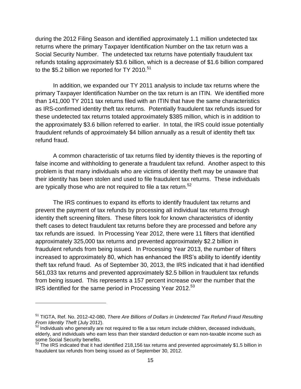during the 2012 Filing Season and identified approximately 1.1 million undetected tax returns where the primary Taxpayer Identification Number on the tax return was a Social Security Number. The undetected tax returns have potentially fraudulent tax refunds totaling approximately \$3.6 billion, which is a decrease of \$1.6 billion compared to the \$5.2 billion we reported for TY 2010.<sup>51</sup>

In addition, we expanded our TY 2011 analysis to include tax returns where the primary Taxpayer Identification Number on the tax return is an ITIN. We identified more than 141,000 TY 2011 tax returns filed with an ITIN that have the same characteristics as IRS-confirmed identity theft tax returns. Potentially fraudulent tax refunds issued for these undetected tax returns totaled approximately \$385 million, which is in addition to the approximately \$3.6 billion referred to earlier. In total, the IRS could issue potentially fraudulent refunds of approximately \$4 billion annually as a result of identity theft tax refund fraud.

A common characteristic of tax returns filed by identity thieves is the reporting of false income and withholding to generate a fraudulent tax refund. Another aspect to this problem is that many individuals who are victims of identity theft may be unaware that their identity has been stolen and used to file fraudulent tax returns. These individuals are typically those who are not required to file a tax return.<sup>52</sup>

The IRS continues to expand its efforts to identify fraudulent tax returns and prevent the payment of tax refunds by processing all individual tax returns through identity theft screening filters. These filters look for known characteristics of identity theft cases to detect fraudulent tax returns before they are processed and before any tax refunds are issued. In Processing Year 2012, there were 11 filters that identified approximately 325,000 tax returns and prevented approximately \$2.2 billion in fraudulent refunds from being issued. In Processing Year 2013, the number of filters increased to approximately 80, which has enhanced the IRS's ability to identify identity theft tax refund fraud. As of September 30, 2013, the IRS indicated that it had identified 561,033 tax returns and prevented approximately \$2.5 billion in fraudulent tax refunds from being issued. This represents a 157 percent increase over the number that the IRS identified for the same period in Processing Year 2012.<sup>53</sup>

<sup>51</sup> TIGTA, Ref. No. 2012-42-080, *There Are Billions of Dollars in Undetected Tax Refund Fraud Resulting From Identity Theft* (July 2012).

 $52$  Individuals who generally are not required to file a tax return include children, deceased individuals, elderly, and individuals who earn less than their standard deduction or earn non-taxable income such as some Social Security benefits.

 $53$  The IRS indicated that it had identified 218,156 tax returns and prevented approximately \$1.5 billion in fraudulent tax refunds from being issued as of September 30, 2012.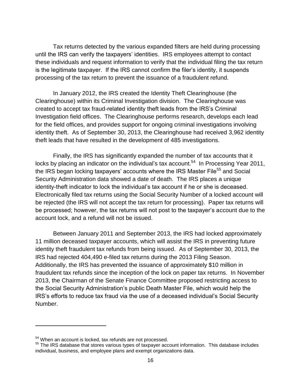Tax returns detected by the various expanded filters are held during processing until the IRS can verify the taxpayers' identities. IRS employees attempt to contact these individuals and request information to verify that the individual filing the tax return is the legitimate taxpayer. If the IRS cannot confirm the filer's identity, it suspends processing of the tax return to prevent the issuance of a fraudulent refund.

In January 2012, the IRS created the Identity Theft Clearinghouse (the Clearinghouse) within its Criminal Investigation division. The Clearinghouse was created to accept tax fraud-related identity theft leads from the IRS's Criminal Investigation field offices. The Clearinghouse performs research, develops each lead for the field offices, and provides support for ongoing criminal investigations involving identity theft. As of September 30, 2013, the Clearinghouse had received 3,962 identity theft leads that have resulted in the development of 485 investigations.

Finally, the IRS has significantly expanded the number of tax accounts that it locks by placing an indicator on the individual's tax account.<sup>54</sup> In Processing Year 2011, the IRS began locking taxpayers' accounts where the IRS Master File<sup>55</sup> and Social Security Administration data showed a date of death. The IRS places a unique identity-theft indicator to lock the individual's tax account if he or she is deceased. Electronically filed tax returns using the Social Security Number of a locked account will be rejected (the IRS will not accept the tax return for processing). Paper tax returns will be processed; however, the tax returns will not post to the taxpayer's account due to the account lock, and a refund will not be issued.

Between January 2011 and September 2013, the IRS had locked approximately 11 million deceased taxpayer accounts, which will assist the IRS in preventing future identity theft fraudulent tax refunds from being issued. As of September 30, 2013, the IRS had rejected 404,490 e-filed tax returns during the 2013 Filing Season. Additionally, the IRS has prevented the issuance of approximately \$10 million in fraudulent tax refunds since the inception of the lock on paper tax returns. In November 2013, the Chairman of the Senate Finance Committee proposed restricting access to the Social Security Administration's public Death Master File, which would help the IRS's efforts to reduce tax fraud via the use of a deceased individual's Social Security Number.

<sup>&</sup>lt;sup>54</sup> When an account is locked, tax refunds are not processed.

<sup>&</sup>lt;sup>55</sup> The IRS database that stores various types of taxpayer account information. This database includes individual, business, and employee plans and exempt organizations data.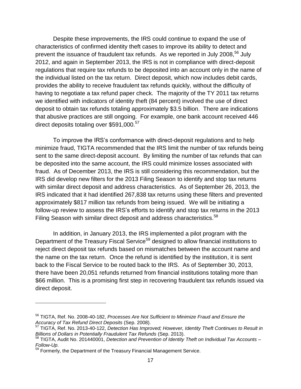Despite these improvements, the IRS could continue to expand the use of characteristics of confirmed identity theft cases to improve its ability to detect and prevent the issuance of fraudulent tax refunds. As we reported in July 2008.<sup>56</sup> July 2012, and again in September 2013, the IRS is not in compliance with direct-deposit regulations that require tax refunds to be deposited into an account only in the name of the individual listed on the tax return. Direct deposit, which now includes debit cards, provides the ability to receive fraudulent tax refunds quickly, without the difficulty of having to negotiate a tax refund paper check. The majority of the TY 2011 tax returns we identified with indicators of identity theft (84 percent) involved the use of direct deposit to obtain tax refunds totaling approximately \$3.5 billion. There are indications that abusive practices are still ongoing. For example, one bank account received 446 direct deposits totaling over \$591,000.<sup>57</sup>

To improve the IRS's conformance with direct-deposit regulations and to help minimize fraud, TIGTA recommended that the IRS limit the number of tax refunds being sent to the same direct-deposit account. By limiting the number of tax refunds that can be deposited into the same account, the IRS could minimize losses associated with fraud. As of December 2013, the IRS is still considering this recommendation, but the IRS did develop new filters for the 2013 Filing Season to identify and stop tax returns with similar direct deposit and address characteristics. As of September 26, 2013, the IRS indicated that it had identified 267,838 tax returns using these filters and prevented approximately \$817 million tax refunds from being issued. We will be initiating a follow-up review to assess the IRS's efforts to identify and stop tax returns in the 2013 Filing Season with similar direct deposit and address characteristics.<sup>58</sup>

In addition, in January 2013, the IRS implemented a pilot program with the Department of the Treasury Fiscal Service<sup>59</sup> designed to allow financial institutions to reject direct deposit tax refunds based on mismatches between the account name and the name on the tax return. Once the refund is identified by the institution, it is sent back to the Fiscal Service to be routed back to the IRS. As of September 30, 2013, there have been 20,051 refunds returned from financial institutions totaling more than \$66 million. This is a promising first step in recovering fraudulent tax refunds issued via direct deposit.

<sup>56</sup> TIGTA, Ref. No. 2008-40-182, *Processes Are Not Sufficient to Minimize Fraud and Ensure the Accuracy of Tax Refund Direct Deposits* (Sep. 2008).

<sup>57</sup> TIGTA, Ref. No. 2013-40-122, *Detection Has Improved; However, Identity Theft Continues to Result in Billions of Dollars in Potentially Fraudulent Tax Refunds* (Sep. 2013).

<sup>58</sup> TIGTA, Audit No. 201440001, *Detection and Prevention of Identity Theft on Individual Tax Accounts – Follow-Up*.

Formerly, the Department of the Treasury Financial Management Service.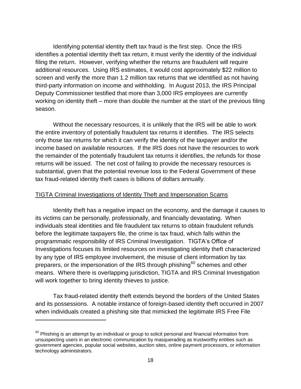Identifying potential identity theft tax fraud is the first step. Once the IRS identifies a potential identity theft tax return, it must verify the identity of the individual filing the return. However, verifying whether the returns are fraudulent will require additional resources. Using IRS estimates, it would cost approximately \$22 million to screen and verify the more than 1.2 million tax returns that we identified as not having third-party information on income and withholding. In August 2013, the IRS Principal Deputy Commissioner testified that more than 3,000 IRS employees are currently working on identity theft – more than double the number at the start of the previous filing season.

Without the necessary resources, it is unlikely that the IRS will be able to work the entire inventory of potentially fraudulent tax returns it identifies. The IRS selects only those tax returns for which it can verify the identity of the taxpayer and/or the income based on available resources. If the IRS does not have the resources to work the remainder of the potentially fraudulent tax returns it identifies, the refunds for those returns will be issued. The net cost of failing to provide the necessary resources is substantial, given that the potential revenue loss to the Federal Government of these tax fraud-related identity theft cases is billions of dollars annually.

#### TIGTA Criminal Investigations of Identity Theft and Impersonation Scams

Identity theft has a negative impact on the economy, and the damage it causes to its victims can be personally, professionally, and financially devastating. When individuals steal identities and file fraudulent tax returns to obtain fraudulent refunds before the legitimate taxpayers file, the crime is tax fraud, which falls within the programmatic responsibility of IRS Criminal Investigation. TIGTA's Office of Investigations focuses its limited resources on investigating identity theft characterized by any type of IRS employee involvement, the misuse of client information by tax preparers, or the impersonation of the IRS through phishing<sup>60</sup> schemes and other means. Where there is overlapping jurisdiction, TIGTA and IRS Criminal Investigation will work together to bring identity thieves to justice.

Tax fraud-related identity theft extends beyond the borders of the United States and its possessions. A notable instance of foreign-based identity theft occurred in 2007 when individuals created a phishing site that mimicked the legitimate IRS Free File

 $60$  Phishing is an attempt by an individual or group to solicit personal and financial information from unsuspecting users in an electronic communication by masquerading as trustworthy entities such as government agencies, popular social websites, auction sites, online payment processors, or information technology administrators.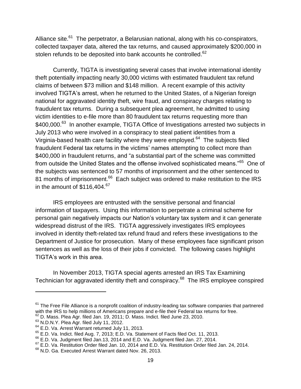Alliance site.<sup>61</sup> The perpetrator, a Belarusian national, along with his co-conspirators, collected taxpayer data, altered the tax returns, and caused approximately \$200,000 in stolen refunds to be deposited into bank accounts he controlled.<sup>62</sup>

Currently, TIGTA is investigating several cases that involve international identity theft potentially impacting nearly 30,000 victims with estimated fraudulent tax refund claims of between \$73 million and \$148 million. A recent example of this activity involved TIGTA's arrest, when he returned to the United States, of a Nigerian foreign national for aggravated identity theft, wire fraud, and conspiracy charges relating to fraudulent tax returns. During a subsequent plea agreement, he admitted to using victim identities to e-file more than 80 fraudulent tax returns requesting more than \$400,000.<sup>63</sup> In another example, TIGTA Office of Investigations arrested two subjects in July 2013 who were involved in a conspiracy to steal patient identities from a Virginia-based health care facility where they were employed.<sup>64</sup> The subjects filed fraudulent Federal tax returns in the victims' names attempting to collect more than \$400,000 in fraudulent returns, and "a substantial part of the scheme was committed from outside the United States and the offense involved sophisticated means."<sup>65</sup> One of the subjects was sentenced to 57 months of imprisonment and the other sentenced to 81 months of imprisonment.<sup>66</sup> Each subject was ordered to make restitution to the IRS in the amount of  $$116,404$ .<sup>67</sup>

IRS employees are entrusted with the sensitive personal and financial information of taxpayers. Using this information to perpetrate a criminal scheme for personal gain negatively impacts our Nation's voluntary tax system and it can generate widespread distrust of the IRS. TIGTA aggressively investigates IRS employees involved in identity theft-related tax refund fraud and refers these investigations to the Department of Justice for prosecution. Many of these employees face significant prison sentences as well as the loss of their jobs if convicted. The following cases highlight TIGTA's work in this area.

In November 2013, TIGTA special agents arrested an IRS Tax Examining Technician for aggravated identity theft and conspiracy.<sup>68</sup> The IRS employee conspired

 $61$  The Free File Alliance is a nonprofit coalition of industry-leading tax software companies that partnered with the IRS to help millions of Americans prepare and e-file their Federal tax returns for free.

 $^{62}$  D. Mass. Plea Agr. filed Jan. 19, 2011; D. Mass. Indict. filed June 23, 2010.

 $63$  N.D.N.Y. Plea Agr. filed July 11, 2012.

<sup>&</sup>lt;sup>64</sup> E.D. Va. Arrest Warrant returned July 11, 2013.

<sup>65</sup> E.D. Va. Indict. filed Aug. 7, 2013; E.D. Va. Statement of Facts filed Oct. 11, 2013.

<sup>&</sup>lt;sup>66</sup> E.D. Va. Judgment filed Jan.13, 2014 and E.D. Va. Judgment filed Jan. 27, 2014.

<sup>&</sup>lt;sup>67</sup> E.D. Va. Restitution Order filed Jan. 10, 2014 and E.D. Va. Restitution Order filed Jan. 24, 2014.

<sup>&</sup>lt;sup>68</sup> N.D. Ga. Executed Arrest Warrant dated Nov. 26, 2013.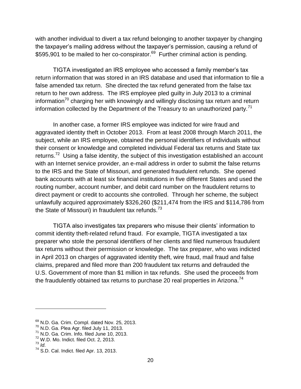with another individual to divert a tax refund belonging to another taxpayer by changing the taxpayer's mailing address without the taxpayer's permission, causing a refund of \$595,901 to be mailed to her co-conspirator.<sup>69</sup> Further criminal action is pending.

TIGTA investigated an IRS employee who accessed a family member's tax return information that was stored in an IRS database and used that information to file a false amended tax return. She directed the tax refund generated from the false tax return to her own address. The IRS employee pled guilty in July 2013 to a criminal information<sup>70</sup> charging her with knowingly and willingly disclosing tax return and return information collected by the Department of the Treasury to an unauthorized party.<sup>71</sup>

In another case, a former IRS employee was indicted for wire fraud and aggravated identity theft in October 2013. From at least 2008 through March 2011, the subject, while an IRS employee, obtained the personal identifiers of individuals without their consent or knowledge and completed individual Federal tax returns and State tax returns.<sup>72</sup> Using a false identity, the subject of this investigation established an account with an Internet service provider, an e-mail address in order to submit the false returns to the IRS and the State of Missouri, and generated fraudulent refunds. She opened bank accounts with at least six financial institutions in five different States and used the routing number, account number, and debit card number on the fraudulent returns to direct payment or credit to accounts she controlled. Through her scheme, the subject unlawfully acquired approximately \$326,260 (\$211,474 from the IRS and \$114,786 from the State of Missouri) in fraudulent tax refunds.<sup>73</sup>

TIGTA also investigates tax preparers who misuse their clients' information to commit identity theft-related refund fraud. For example, TIGTA investigated a tax preparer who stole the personal identifiers of her clients and filed numerous fraudulent tax returns without their permission or knowledge. The tax preparer, who was indicted in April 2013 on charges of aggravated identity theft, wire fraud, mail fraud and false claims, prepared and filed more than 200 fraudulent tax returns and defrauded the U.S. Government of more than \$1 million in tax refunds. She used the proceeds from the fraudulently obtained tax returns to purchase 20 real properties in Arizona.<sup>74</sup>

 $69$  N.D. Ga. Crim. Compl. dated Nov. 25, 2013.

 $70$  N.D. Ga. Plea Agr. filed July 11, 2013.

 $71$  N.D. Ga. Crim. Info. filed June 10, 2013.

 $72$  W.D. Mo. Indict. filed Oct. 2, 2013.

 $73$   $\overline{1}$ *d*.

<sup>74</sup> S.D. Cal. Indict. filed Apr. 13, 2013.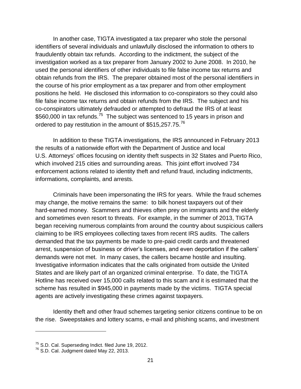In another case, TIGTA investigated a tax preparer who stole the personal identifiers of several individuals and unlawfully disclosed the information to others to fraudulently obtain tax refunds. According to the indictment, the subject of the investigation worked as a tax preparer from January 2002 to June 2008. In 2010, he used the personal identifiers of other individuals to file false income tax returns and obtain refunds from the IRS. The preparer obtained most of the personal identifiers in the course of his prior employment as a tax preparer and from other employment positions he held. He disclosed this information to co-conspirators so they could also file false income tax returns and obtain refunds from the IRS. The subject and his co-conspirators ultimately defrauded or attempted to defraud the IRS of at least \$560,000 in tax refunds.<sup>75</sup> The subject was sentenced to 15 years in prison and ordered to pay restitution in the amount of \$515,257.75.<sup>76</sup>

In addition to these TIGTA investigations, the IRS announced in February 2013 the results of a nationwide effort with the Department of Justice and local U.S. Attorneys' offices focusing on identity theft suspects in 32 States and Puerto Rico, which involved 215 cities and surrounding areas. This joint effort involved 734 enforcement actions related to identity theft and refund fraud, including indictments, informations, complaints, and arrests.

Criminals have been impersonating the IRS for years. While the fraud schemes may change, the motive remains the same: to bilk honest taxpayers out of their hard-earned money. Scammers and thieves often prey on immigrants and the elderly and sometimes even resort to threats. For example, in the summer of 2013, TIGTA began receiving numerous complaints from around the country about suspicious callers claiming to be IRS employees collecting taxes from recent IRS audits. The callers demanded that the tax payments be made to pre-paid credit cards and threatened arrest, suspension of business or driver's licenses, and even deportation if the callers' demands were not met. In many cases, the callers became hostile and insulting. Investigative information indicates that the calls originated from outside the United States and are likely part of an organized criminal enterprise. To date, the TIGTA Hotline has received over 15,000 calls related to this scam and it is estimated that the scheme has resulted in \$945,000 in payments made by the victims. TIGTA special agents are actively investigating these crimes against taxpayers.

Identity theft and other fraud schemes targeting senior citizens continue to be on the rise. Sweepstakes and lottery scams, e-mail and phishing scams, and investment

 $\frac{75}{10}$  S.D. Cal. Superseding Indict. filed June 19, 2012.

<sup>76</sup> S.D. Cal. Judgment dated May 22, 2013.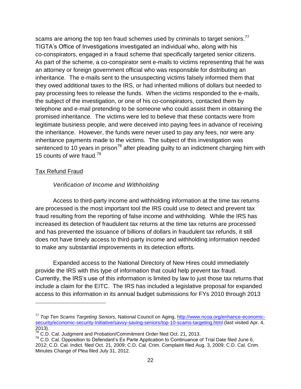scams are among the top ten fraud schemes used by criminals to target seniors.<sup>77</sup> TIGTA's Office of Investigations investigated an individual who, along with his co-conspirators, engaged in a fraud scheme that specifically targeted senior citizens. As part of the scheme, a co-conspirator sent e-mails to victims representing that he was an attorney or foreign government official who was responsible for distributing an inheritance. The e-mails sent to the unsuspecting victims falsely informed them that they owed additional taxes to the IRS, or had inherited millions of dollars but needed to pay processing fees to release the funds. When the victims responded to the e-mails, the subject of the investigation, or one of his co-conspirators, contacted them by telephone and e-mail pretending to be someone who could assist them in obtaining the promised inheritance. The victims were led to believe that these contacts were from legitimate business people, and were deceived into paying fees in advance of receiving the inheritance. However, the funds were never used to pay any fees, nor were any inheritance payments made to the victims. The subject of this investigation was sentenced to 10 years in prison<sup>78</sup> after pleading guilty to an indictment charging him with 15 counts of wire fraud.<sup>79</sup>

#### Tax Refund Fraud

 $\overline{a}$ 

#### *Verification of Income and Withholding*

Access to third-party income and withholding information at the time tax returns are processed is the most important tool the IRS could use to detect and prevent tax fraud resulting from the reporting of false income and withholding. While the IRS has increased its detection of fraudulent tax returns at the time tax returns are processed and has prevented the issuance of billions of dollars in fraudulent tax refunds, it still does not have timely access to third-party income and withholding information needed to make any substantial improvements in its detection efforts.

Expanded access to the National Directory of New Hires could immediately provide the IRS with this type of information that could help prevent tax fraud. Currently, the IRS's use of this information is limited by law to just those tax returns that include a claim for the EITC. The IRS has included a legislative proposal for expanded access to this information in its annual budget submissions for FYs 2010 through 2013

<sup>77</sup> *Top Ten Scams Targeting Seniors*, National Council on Aging, [http://www.ncoa.org/enhance-economic](http://www.ncoa.org/enhance-economic-security/economic-security-Initiative/savvy-saving-seniors/top-10-scams-targeting.html)[security/economic-security-Initiative/savvy-saving-seniors/top-10-scams-targeting.html](http://www.ncoa.org/enhance-economic-security/economic-security-Initiative/savvy-saving-seniors/top-10-scams-targeting.html) (last visited Apr. 4, 2013).

<sup>78</sup> C.D. Cal. Judgment and Probation/Commitment Order filed Oct. 21, 2013.

 $79$  C.D. Cal. Opposition to Defendant's Ex Parte Application to Continuance of Trial Date filed June 6, 2012; C.D. Cal. Indict. filed Oct. 21, 2009; C.D. Cal. Crim. Complaint filed Aug. 3, 2009; C.D. Cal. Crim. Minutes Change of Plea filed July 31, 2012.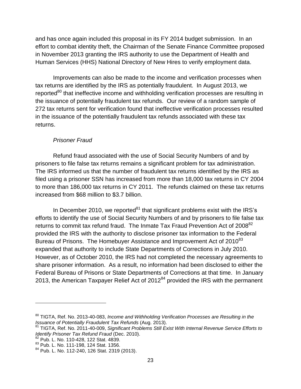and has once again included this proposal in its FY 2014 budget submission. In an effort to combat identity theft, the Chairman of the Senate Finance Committee proposed in November 2013 granting the IRS authority to use the Department of Health and Human Services (HHS) National Directory of New Hires to verify employment data.

Improvements can also be made to the income and verification processes when tax returns are identified by the IRS as potentially fraudulent. In August 2013, we reported<sup>80</sup> that ineffective income and withholding verification processes are resulting in the issuance of potentially fraudulent tax refunds. Our review of a random sample of 272 tax returns sent for verification found that ineffective verification processes resulted in the issuance of the potentially fraudulent tax refunds associated with these tax returns.

#### *Prisoner Fraud*

Refund fraud associated with the use of Social Security Numbers of and by prisoners to file false tax returns remains a significant problem for tax administration. The IRS informed us that the number of fraudulent tax returns identified by the IRS as filed using a prisoner SSN has increased from more than 18,000 tax returns in CY 2004 to more than 186,000 tax returns in CY 2011. The refunds claimed on these tax returns increased from \$68 million to \$3.7 billion.

In December 2010, we reported<sup>81</sup> that significant problems exist with the IRS's efforts to identify the use of Social Security Numbers of and by prisoners to file false tax returns to commit tax refund fraud. The Inmate Tax Fraud Prevention Act of  $2008^{82}$ provided the IRS with the authority to disclose prisoner tax information to the Federal Bureau of Prisons. The Homebuyer Assistance and Improvement Act of 2010<sup>83</sup> expanded that authority to include State Departments of Corrections in July 2010. However, as of October 2010, the IRS had not completed the necessary agreements to share prisoner information. As a result, no information had been disclosed to either the Federal Bureau of Prisons or State Departments of Corrections at that time. In January 2013, the American Taxpayer Relief Act of  $2012^{84}$  provided the IRS with the permanent

<sup>80</sup> TIGTA, Ref. No. 2013-40-083, *Income and Withholding Verification Processes are Resulting in the Issuance of Potentially Fraudulent Tax Refunds* (Aug. 2013).

<sup>81</sup> TIGTA, Ref. No. 2011-40-009, *Significant Problems Still Exist With Internal Revenue Service Efforts to Identify Prisoner Tax Refund Fraud* (Dec. 2010).

<sup>82</sup> Pub. L. No. 110-428, 122 Stat. 4839.

<sup>83</sup> Pub. L. No. 111-198, 124 Stat. 1356.

<sup>84</sup> Pub. L. No. 112-240, 126 Stat. 2319 (2013).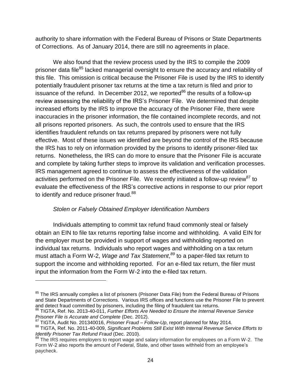authority to share information with the Federal Bureau of Prisons or State Departments of Corrections. As of January 2014, there are still no agreements in place.

We also found that the review process used by the IRS to compile the 2009 prisoner data file<sup>85</sup> lacked managerial oversight to ensure the accuracy and reliability of this file. This omission is critical because the Prisoner File is used by the IRS to identify potentially fraudulent prisoner tax returns at the time a tax return is filed and prior to issuance of the refund. In December 2012, we reported $^{86}$  the results of a follow-up review assessing the reliability of the IRS's Prisoner File. We determined that despite increased efforts by the IRS to improve the accuracy of the Prisoner File, there were inaccuracies in the prisoner information, the file contained incomplete records, and not all prisons reported prisoners. As such, the controls used to ensure that the IRS identifies fraudulent refunds on tax returns prepared by prisoners were not fully effective. Most of these issues we identified are beyond the control of the IRS because the IRS has to rely on information provided by the prisons to identify prisoner-filed tax returns. Nonetheless, the IRS can do more to ensure that the Prisoner File is accurate and complete by taking further steps to improve its validation and verification processes. IRS management agreed to continue to assess the effectiveness of the validation activities performed on the Prisoner File. We recently initiated a follow-up review<sup>87</sup> to evaluate the effectiveness of the IRS's corrective actions in response to our prior report to identify and reduce prisoner fraud.<sup>88</sup>

#### *Stolen or Falsely Obtained Employer Identification Numbers*

Individuals attempting to commit tax refund fraud commonly steal or falsely obtain an EIN to file tax returns reporting false income and withholding. A valid EIN for the employer must be provided in support of wages and withholding reported on individual tax returns. Individuals who report wages and withholding on a tax return must attach a Form W-2, *Wage and Tax Statement*, *<sup>89</sup>* to a paper-filed tax return to support the income and withholding reported. For an e-filed tax return, the filer must input the information from the Form W-2 into the e-filed tax return.

<sup>&</sup>lt;sup>85</sup> The IRS annually compiles a list of prisoners (Prisoner Data File) from the Federal Bureau of Prisons and State Departments of Corrections. Various IRS offices and functions use the Prisoner File to prevent and detect fraud committed by prisoners, including the filing of fraudulent tax returns.

<sup>86</sup> TIGTA, Ref. No. 2013-40-011, *Further Efforts Are Needed to Ensure the Internal Revenue Service Prisoner File is Accurate and Complete* (Dec. 2012).

<sup>87</sup> TIGTA, Audit No. 201340016, *Prisoner Fraud – Follow-Up*, report planned for May 2014.

<sup>88</sup> TIGTA, Ref. No. 2011-40-009, *Significant Problems Still Exist With Internal Revenue Service Efforts to Identify Prisoner Tax Refund Fraud* (Dec. 2010).

<sup>89</sup> The IRS requires employers to report wage and salary information for employees on a Form W-2. The Form W-2 also reports the amount of Federal, State, and other taxes withheld from an employee's paycheck.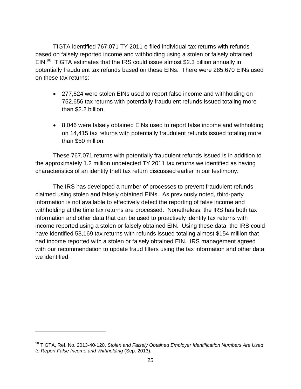TIGTA identified 767,071 TY 2011 e-filed individual tax returns with refunds based on falsely reported income and withholding using a stolen or falsely obtained EIN.<sup>90</sup> TIGTA estimates that the IRS could issue almost \$2.3 billion annually in potentially fraudulent tax refunds based on these EINs. There were 285,670 EINs used on these tax returns:

- 277,624 were stolen EINs used to report false income and withholding on 752,656 tax returns with potentially fraudulent refunds issued totaling more than \$2.2 billion.
- 8,046 were falsely obtained EINs used to report false income and withholding on 14,415 tax returns with potentially fraudulent refunds issued totaling more than \$50 million.

These 767,071 returns with potentially fraudulent refunds issued is in addition to the approximately 1.2 million undetected TY 2011 tax returns we identified as having characteristics of an identity theft tax return discussed earlier in our testimony.

The IRS has developed a number of processes to prevent fraudulent refunds claimed using stolen and falsely obtained EINs. As previously noted, third-party information is not available to effectively detect the reporting of false income and withholding at the time tax returns are processed. Nonetheless, the IRS has both tax information and other data that can be used to proactively identify tax returns with income reported using a stolen or falsely obtained EIN. Using these data, the IRS could have identified 53,169 tax returns with refunds issued totaling almost \$154 million that had income reported with a stolen or falsely obtained EIN. IRS management agreed with our recommendation to update fraud filters using the tax information and other data we identified.

<sup>90</sup> TIGTA, Ref. No. 2013-40-120, *Stolen and Falsely Obtained Employer Identification Numbers Are Used to Report False Income and Withholding* (Sep. 2013).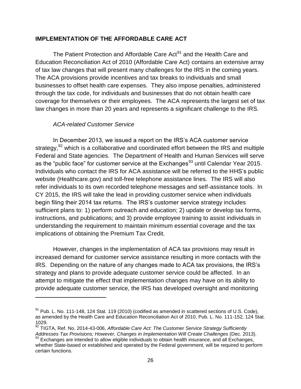#### **IMPLEMENTATION OF THE AFFORDABLE CARE ACT**

The Patient Protection and Affordable Care Act<sup>91</sup> and the Health Care and Education Reconciliation Act of 2010 (Affordable Care Act) contains an extensive array of tax law changes that will present many challenges for the IRS in the coming years. The ACA provisions provide incentives and tax breaks to individuals and small businesses to offset health care expenses. They also impose penalties, administered through the tax code, for individuals and businesses that do not obtain health care coverage for themselves or their employees. The ACA represents the largest set of tax law changes in more than 20 years and represents a significant challenge to the IRS.

#### *ACA-related Customer Service*

 $\overline{a}$ 

In December 2013, we issued a report on the IRS's ACA customer service strategy,<sup>92</sup> which is a collaborative and coordinated effort between the IRS and multiple Federal and State agencies. The Department of Health and Human Services will serve as the "public face" for customer service at the Exchanges<sup>93</sup> until Calendar Year 2015. Individuals who contact the IRS for ACA assistance will be referred to the HHS's public website (Healthcare.gov) and toll-free telephone assistance lines. The IRS will also refer individuals to its own recorded telephone messages and self-assistance tools. In CY 2015, the IRS will take the lead in providing customer service when individuals begin filing their 2014 tax returns. The IRS's customer service strategy includes sufficient plans to: 1) perform outreach and education; 2) update or develop tax forms, instructions, and publications; and 3) provide employee training to assist individuals in understanding the requirement to maintain minimum essential coverage and the tax implications of obtaining the Premium Tax Credit.

However, changes in the implementation of ACA tax provisions may result in increased demand for customer service assistance resulting in more contacts with the IRS. Depending on the nature of any changes made to ACA tax provisions, the IRS's strategy and plans to provide adequate customer service could be affected. In an attempt to mitigate the effect that implementation changes may have on its ability to provide adequate customer service, the IRS has developed oversight and monitoring

<sup>&</sup>lt;sup>91</sup> Pub. L. No. 111-148, 124 Stat. 119 (2010) (codified as amended in scattered sections of U.S. Code), as amended by the Health Care and Education Reconciliation Act of 2010, Pub. L. No. 111-152, 124 Stat. 1029.

<sup>92</sup> TIGTA, Ref. No. 2014-43-006, *Affordable Care Act: The Customer Service Strategy Sufficiently Addresses Tax Provisions; However, Changes in Implementation Will Create Challenges* (Dec. 2013).

 $93$  Exchanges are intended to allow eligible individuals to obtain health insurance, and all Exchanges, whether State-based or established and operated by the Federal government, will be required to perform certain functions.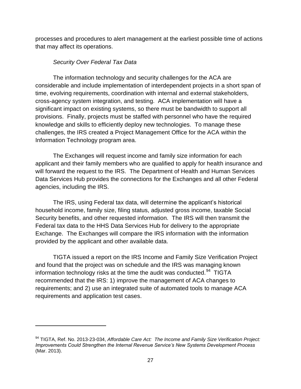processes and procedures to alert management at the earliest possible time of actions that may affect its operations.

#### *Security Over Federal Tax Data*

 $\overline{a}$ 

The information technology and security challenges for the ACA are considerable and include implementation of interdependent projects in a short span of time, evolving requirements, coordination with internal and external stakeholders, cross-agency system integration, and testing. ACA implementation will have a significant impact on existing systems, so there must be bandwidth to support all provisions. Finally, projects must be staffed with personnel who have the required knowledge and skills to efficiently deploy new technologies. To manage these challenges, the IRS created a Project Management Office for the ACA within the Information Technology program area.

The Exchanges will request income and family size information for each applicant and their family members who are qualified to apply for health insurance and will forward the request to the IRS. The Department of Health and Human Services Data Services Hub provides the connections for the Exchanges and all other Federal agencies, including the IRS.

The IRS, using Federal tax data, will determine the applicant's historical household income, family size, filing status, adjusted gross income, taxable Social Security benefits, and other requested information. The IRS will then transmit the Federal tax data to the HHS Data Services Hub for delivery to the appropriate Exchange. The Exchanges will compare the IRS information with the information provided by the applicant and other available data.

TIGTA issued a report on the IRS Income and Family Size Verification Project and found that the project was on schedule and the IRS was managing known information technology risks at the time the audit was conducted. $94$  TIGTA recommended that the IRS: 1) improve the management of ACA changes to requirements; and 2) use an integrated suite of automated tools to manage ACA requirements and application test cases.

<sup>94</sup> TIGTA, Ref. No. 2013-23-034, *Affordable Care Act: The Income and Family Size Verification Project: Improvements Could Strengthen the Internal Revenue Service's New Systems Development Process* (Mar. 2013).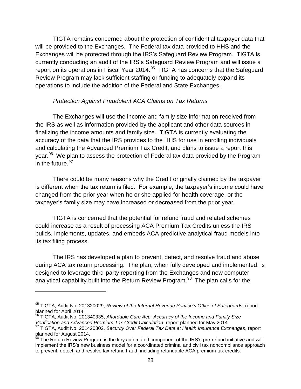TIGTA remains concerned about the protection of confidential taxpayer data that will be provided to the Exchanges. The Federal tax data provided to HHS and the Exchanges will be protected through the IRS's Safeguard Review Program. TIGTA is currently conducting an audit of the IRS's Safeguard Review Program and will issue a report on its operations in Fiscal Year 2014. $^{95}$  TIGTA has concerns that the Safeguard Review Program may lack sufficient staffing or funding to adequately expand its operations to include the addition of the Federal and State Exchanges.

#### *Protection Against Fraudulent ACA Claims on Tax Returns*

The Exchanges will use the income and family size information received from the IRS as well as information provided by the applicant and other data sources in finalizing the income amounts and family size. TIGTA is currently evaluating the accuracy of the data that the IRS provides to the HHS for use in enrolling individuals and calculating the Advanced Premium Tax Credit, and plans to issue a report this year.<sup>96</sup> We plan to assess the protection of Federal tax data provided by the Program in the future.<sup>97</sup>

There could be many reasons why the Credit originally claimed by the taxpayer is different when the tax return is filed. For example, the taxpayer's income could have changed from the prior year when he or she applied for health coverage, or the taxpayer's family size may have increased or decreased from the prior year.

TIGTA is concerned that the potential for refund fraud and related schemes could increase as a result of processing ACA Premium Tax Credits unless the IRS builds, implements, updates, and embeds ACA predictive analytical fraud models into its tax filing process.

The IRS has developed a plan to prevent, detect, and resolve fraud and abuse during ACA tax return processing. The plan, when fully developed and implemented, is designed to leverage third-party reporting from the Exchanges and new computer analytical capability built into the Return Review Program.<sup>98</sup> The plan calls for the

<sup>95</sup> TIGTA, Audit No. 201320029, *Review of the Internal Revenue Service's Office of Safeguards*, report planned for April 2014.

<sup>96</sup> TIGTA, Audit No. 201340335, *Affordable Care Act: Accuracy of the Income and Family Size Verification and Advanced Premium Tax Credit Calculation*, report planned for May 2014.

<sup>97</sup> TIGTA, Audit No. 201420302, *Security Over Federal Tax Data at Health Insurance Exchanges*, report planned for August 2014.

<sup>&</sup>lt;sup>98</sup> The Return Review Program is the key automated component of the IRS's pre-refund initiative and will implement the IRS's new business model for a coordinated criminal and civil tax noncompliance approach to prevent, detect, and resolve tax refund fraud, including refundable ACA premium tax credits.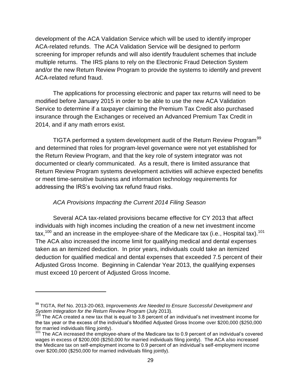development of the ACA Validation Service which will be used to identify improper ACA-related refunds. The ACA Validation Service will be designed to perform screening for improper refunds and will also identify fraudulent schemes that include multiple returns. The IRS plans to rely on the Electronic Fraud Detection System and/or the new Return Review Program to provide the systems to identify and prevent ACA-related refund fraud.

The applications for processing electronic and paper tax returns will need to be modified before January 2015 in order to be able to use the new ACA Validation Service to determine if a taxpayer claiming the Premium Tax Credit also purchased insurance through the Exchanges or received an Advanced Premium Tax Credit in 2014, and if any math errors exist.

TIGTA performed a system development audit of the Return Review Program<sup>99</sup> and determined that roles for program-level governance were not yet established for the Return Review Program, and that the key role of system integrator was not documented or clearly communicated. As a result, there is limited assurance that Return Review Program systems development activities will achieve expected benefits or meet time-sensitive business and information technology requirements for addressing the IRS's evolving tax refund fraud risks.

#### *ACA Provisions Impacting the Current 2014 Filing Season*

 $\overline{a}$ 

Several ACA tax-related provisions became effective for CY 2013 that affect individuals with high incomes including the creation of a new net investment income tax,<sup>100</sup> and an increase in the employee-share of the Medicare tax (i.e., Hospital tax).<sup>101</sup> The ACA also increased the income limit for qualifying medical and dental expenses taken as an itemized deduction. In prior years, individuals could take an itemized deduction for qualified medical and dental expenses that exceeded 7.5 percent of their Adjusted Gross Income. Beginning in Calendar Year 2013, the qualifying expenses must exceed 10 percent of Adjusted Gross Income.

<sup>99</sup> TIGTA, Ref No. 2013-20-063, *Improvements Are Needed to Ensure Successful Development and System Integration for the Return Review Program* (July 2013).

The ACA created a new tax that is equal to 3.8 percent of an individual's net investment income for the tax year or the excess of the individual's Modified Adjusted Gross Income over \$200,000 (\$250,000 for married individuals filing jointly).

<sup>&</sup>lt;sup>101</sup> The ACA increased the employee-share of the Medicare tax to 0.9 percent of an individual's covered wages in excess of \$200,000 (\$250,000 for married individuals filing jointly). The ACA also increased the Medicare tax on self-employment income to 0.9 percent of an individual's self-employment income over \$200,000 (\$250,000 for married individuals filing jointly).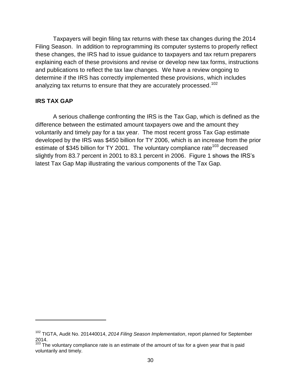Taxpayers will begin filing tax returns with these tax changes during the 2014 Filing Season. In addition to reprogramming its computer systems to properly reflect these changes, the IRS had to issue guidance to taxpayers and tax return preparers explaining each of these provisions and revise or develop new tax forms, instructions and publications to reflect the tax law changes. We have a review ongoing to determine if the IRS has correctly implemented these provisions, which includes analyzing tax returns to ensure that they are accurately processed.<sup>102</sup>

#### **IRS TAX GAP**

 $\overline{a}$ 

A serious challenge confronting the IRS is the Tax Gap, which is defined as the difference between the estimated amount taxpayers owe and the amount they voluntarily and timely pay for a tax year. The most recent gross Tax Gap estimate developed by the IRS was \$450 billion for TY 2006, which is an increase from the prior estimate of \$345 billion for TY 2001. The voluntary compliance rate<sup>103</sup> decreased slightly from 83.7 percent in 2001 to 83.1 percent in 2006. Figure 1 shows the IRS's latest Tax Gap Map illustrating the various components of the Tax Gap.

<sup>102</sup> TIGTA, Audit No. 201440014, *2014 Filing Season Implementation*, report planned for September 2014.

 $103$  The voluntary compliance rate is an estimate of the amount of tax for a given year that is paid voluntarily and timely.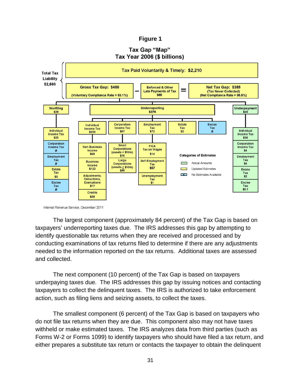#### **Figure 1**



## Tax Gap "Map"

Internal Revenue Service, December 2011

The largest component (approximately 84 percent) of the Tax Gap is based on taxpayers' underreporting taxes due. The IRS addresses this gap by attempting to identify questionable tax returns when they are received and processed and by conducting examinations of tax returns filed to determine if there are any adjustments needed to the information reported on the tax returns. Additional taxes are assessed and collected.

The next component (10 percent) of the Tax Gap is based on taxpayers underpaying taxes due. The IRS addresses this gap by issuing notices and contacting taxpayers to collect the delinquent taxes. The IRS is authorized to take enforcement action, such as filing liens and seizing assets, to collect the taxes.

The smallest component (6 percent) of the Tax Gap is based on taxpayers who do not file tax returns when they are due. This component also may not have taxes withheld or make estimated taxes. The IRS analyzes data from third parties (such as Forms W-2 or Forms 1099) to identify taxpayers who should have filed a tax return, and either prepares a substitute tax return or contacts the taxpayer to obtain the delinquent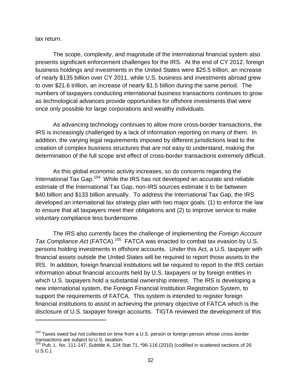tax return.

 $\overline{a}$ 

The scope, complexity, and magnitude of the international financial system also presents significant enforcement challenges for the IRS. At the end of CY 2012, foreign business holdings and investments in the United States were \$25.5 trillion, an increase of nearly \$135 billion over CY 2011, while U.S. business and investments abroad grew to over \$21.6 trillion, an increase of nearly \$1.5 billion during the same period. The numbers of taxpayers conducting international business transactions continues to grow as technological advances provide opportunities for offshore investments that were once only possible for large corporations and wealthy individuals.

As advancing technology continues to allow more cross-border transactions, the IRS is increasingly challenged by a lack of information reporting on many of them. In addition, the varying legal requirements imposed by different jurisdictions lead to the creation of complex business structures that are not easy to understand, making the determination of the full scope and effect of cross-border transactions extremely difficult.

As this global economic activity increases, so do concerns regarding the International Tax Gap.<sup>104</sup> While the IRS has not developed an accurate and reliable estimate of the International Tax Gap, non-IRS sources estimate it to be between \$40 billion and \$133 billion annually. To address the International Tax Gap, the IRS developed an international tax strategy plan with two major goals: (1) to enforce the law to ensure that all taxpayers meet their obligations and (2) to improve service to make voluntary compliance less burdensome.

The IRS also currently faces the challenge of implementing the *Foreign Account*  Tax Compliance Act (FATCA).<sup>105</sup> FATCA was enacted to combat tax evasion by U.S. persons holding investments in offshore accounts. Under this Act, a U.S. taxpayer with financial assets outside the United States will be required to report those assets to the IRS. In addition, foreign financial institutions will be required to report to the IRS certain information about financial accounts held by U.S. taxpayers or by foreign entities in which U.S. taxpayers hold a substantial ownership interest. The IRS is developing a new international system, the Foreign Financial Institution Registration System, to support the requirements of FATCA. This system is intended to register foreign financial institutions to assist in achieving the primary objective of FATCA which is the disclosure of U.S. taxpayer foreign accounts. TIGTA reviewed the development of this

 $104$  Taxes owed but not collected on time from a U.S. person or foreign person whose cross-border transactions are subject to U.S. taxation.

 $105$  Pub. L. No. 111-147, Subtitle A, 124 Stat 71,  $*96-116$  (2010) (codified in scattered sections of 26 U.S.C.).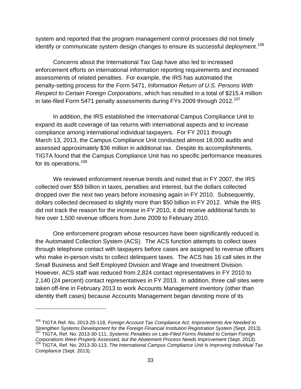system and reported that the program management control processes did not timely identify or communicate system design changes to ensure its successful deployment.<sup>106</sup>

Concerns about the International Tax Gap have also led to increased enforcement efforts on international information reporting requirements and increased assessments of related penalties. For example, the IRS has automated the penalty-setting process for the Form 5471, *Information Return of U.S. Persons With Respect to Certain Foreign Corporations*, which has resulted in a total of \$215.4 million in late-filed Form 5471 penalty assessments during FYs 2009 through 2012.<sup>107</sup>

In addition, the IRS established the International Campus Compliance Unit to expand its audit coverage of tax returns with international aspects and to increase compliance among international individual taxpayers. For FY 2011 through March 13, 2013, the Campus Compliance Unit conducted almost 18,000 audits and assessed approximately \$36 million in additional tax. Despite its accomplishments, TIGTA found that the Campus Compliance Unit has no specific performance measures for its operations.<sup>108</sup>

We reviewed enforcement revenue trends and noted that in FY 2007, the IRS collected over \$59 billion in taxes, penalties and interest, but the dollars collected dropped over the next two years before increasing again in FY 2010. Subsequently, dollars collected decreased to slightly more than \$50 billion in FY 2012. While the IRS did not track the reason for the increase in FY 2010, it did receive additional funds to hire over 1,500 revenue officers from June 2009 to February 2010.

One enforcement program whose resources have been significantly reduced is the Automated Collection System (ACS). The ACS function attempts to collect taxes through telephone contact with taxpayers before cases are assigned to revenue officers who make in-person visits to collect delinquent taxes. The ACS has 16 call sites in the Small Business and Self Employed Division and Wage and Investment Division. However, ACS staff was reduced from 2,824 contact representatives in FY 2010 to 2,140 (24 percent) contact representatives in FY 2013. In addition, three call sites were taken off-line in February 2013 to work Accounts Management inventory (other than identity theft cases) because Accounts Management began devoting more of its

l

<sup>106</sup> TIGTA Ref. No. 2013-20-118, *Foreign Account Tax Compliance Act: Improvements Are Needed to Strengthen Systems Development for the Foreign Financial Institution Registration System* (Sept. 2013). <sup>107</sup> TIGTA, Ref. No. 2013-30-111, *Systemic Penalties on Late-Filed Forms Related to Certain Foreign Corporations Were Properly Assessed, but the Abatement Process Needs Improvement* (Sept. 2013).

<sup>108</sup> TIGTA, Ref. No. 2013-30-113, *The International Campus Compliance Unit Is Improving Individual Tax Compliance* (Sept. 2013).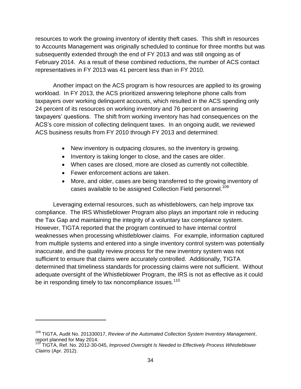resources to work the growing inventory of identity theft cases. This shift in resources to Accounts Management was originally scheduled to continue for three months but was subsequently extended through the end of FY 2013 and was still ongoing as of February 2014. As a result of these combined reductions, the number of ACS contact representatives in FY 2013 was 41 percent less than in FY 2010.

Another impact on the ACS program is how resources are applied to its growing workload. In FY 2013, the ACS prioritized answering telephone phone calls from taxpayers over working delinquent accounts, which resulted in the ACS spending only 24 percent of its resources on working inventory and 76 percent on answering taxpayers' questions. The shift from working inventory has had consequences on the ACS's core mission of collecting delinquent taxes. In an ongoing audit, we reviewed ACS business results from FY 2010 through FY 2013 and determined:

- New inventory is outpacing closures, so the inventory is growing.
- Inventory is taking longer to close, and the cases are older.
- When cases are closed, more are closed as currently not collectible.
- Fewer enforcement actions are taken.

 $\overline{a}$ 

 More, and older, cases are being transferred to the growing inventory of cases available to be assigned Collection Field personnel.<sup>109</sup>

Leveraging external resources, such as whistleblowers, can help improve tax compliance. The IRS Whistleblower Program also plays an important role in reducing the Tax Gap and maintaining the integrity of a voluntary tax compliance system. However, TIGTA reported that the program continued to have internal control weaknesses when processing whistleblower claims. For example, information captured from multiple systems and entered into a single inventory control system was potentially inaccurate, and the quality review process for the new inventory system was not sufficient to ensure that claims were accurately controlled. Additionally, TIGTA determined that timeliness standards for processing claims were not sufficient. Without adequate oversight of the Whistleblower Program, the IRS is not as effective as it could be in responding timely to tax noncompliance issues.<sup>110</sup>

<sup>109</sup> TIGTA, Audit No. 201330017, *Review of the Automated Collection System Inventory Management*, report planned for May 2014.

<sup>&</sup>lt;sup>110</sup> TIGTA, Ref. No. 2012-30-045, *Improved Oversight Is Needed to Effectively Process Whistleblower Claims* (Apr. 2012).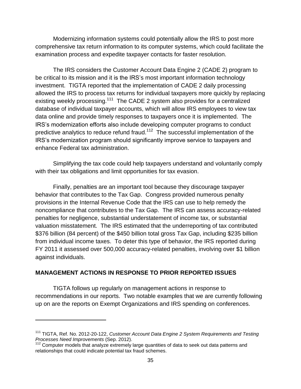Modernizing information systems could potentially allow the IRS to post more comprehensive tax return information to its computer systems, which could facilitate the examination process and expedite taxpayer contacts for faster resolution.

The IRS considers the Customer Account Data Engine 2 (CADE 2) program to be critical to its mission and it is the IRS's most important information technology investment. TIGTA reported that the implementation of CADE 2 daily processing allowed the IRS to process tax returns for individual taxpayers more quickly by replacing existing weekly processing.<sup>111</sup> The CADE 2 system also provides for a centralized database of individual taxpayer accounts, which will allow IRS employees to view tax data online and provide timely responses to taxpayers once it is implemented. The IRS's modernization efforts also include developing computer programs to conduct predictive analytics to reduce refund fraud. $112$  The successful implementation of the IRS's modernization program should significantly improve service to taxpayers and enhance Federal tax administration.

Simplifying the tax code could help taxpayers understand and voluntarily comply with their tax obligations and limit opportunities for tax evasion.

Finally, penalties are an important tool because they discourage taxpayer behavior that contributes to the Tax Gap. Congress provided numerous penalty provisions in the Internal Revenue Code that the IRS can use to help remedy the noncompliance that contributes to the Tax Gap. The IRS can assess accuracy-related penalties for negligence, substantial understatement of income tax, or substantial valuation misstatement. The IRS estimated that the underreporting of tax contributed \$376 billion (84 percent) of the \$450 billion total gross Tax Gap, including \$235 billion from individual income taxes. To deter this type of behavior, the IRS reported during FY 2011 it assessed over 500,000 accuracy-related penalties, involving over \$1 billion against individuals.

#### **MANAGEMENT ACTIONS IN RESPONSE TO PRIOR REPORTED ISSUES**

 $\overline{a}$ 

TIGTA follows up regularly on management actions in response to recommendations in our reports. Two notable examples that we are currently following up on are the reports on Exempt Organizations and IRS spending on conferences.

<sup>&</sup>lt;sup>111</sup> TIGTA, Ref. No. 2012-20-122, *Customer Account Data Engine 2 System Requirements and Testing Processes Need Improvements* (Sep. 2012).

<sup>&</sup>lt;sup>112</sup> Computer models that analyze extremely large quantities of data to seek out data patterns and relationships that could indicate potential tax fraud schemes.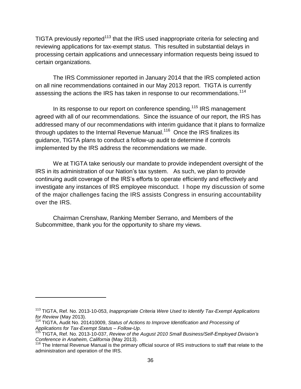TIGTA previously reported<sup>113</sup> that the IRS used inappropriate criteria for selecting and reviewing applications for tax-exempt status. This resulted in substantial delays in processing certain applications and unnecessary information requests being issued to certain organizations.

The IRS Commissioner reported in January 2014 that the IRS completed action on all nine recommendations contained in our May 2013 report. TIGTA is currently assessing the actions the IRS has taken in response to our recommendations.<sup>114</sup>

In its response to our report on conference spending,<sup>115</sup> IRS management agreed with all of our recommendations. Since the issuance of our report, the IRS has addressed many of our recommendations with interim guidance that it plans to formalize through updates to the Internal Revenue Manual.<sup>116</sup> Once the IRS finalizes its guidance, TIGTA plans to conduct a follow-up audit to determine if controls implemented by the IRS address the recommendations we made.

We at TIGTA take seriously our mandate to provide independent oversight of the IRS in its administration of our Nation's tax system. As such, we plan to provide continuing audit coverage of the IRS's efforts to operate efficiently and effectively and investigate any instances of IRS employee misconduct. I hope my discussion of some of the major challenges facing the IRS assists Congress in ensuring accountability over the IRS.

Chairman Crenshaw, Ranking Member Serrano, and Members of the Subcommittee, thank you for the opportunity to share my views.

l

<sup>113</sup> TIGTA, Ref. No. 2013-10-053, *Inappropriate Criteria Were Used to Identify Tax-Exempt Applications for Review* (May 2013).

<sup>114</sup> TIGTA, Audit No. 201410009, *Status of Actions to Improve Identification and Processing of Applications for Tax-Exempt Status – Follow-Up*.

<sup>115</sup> TIGTA, Ref. No. 2013-10-037, *Review of the August 2010 Small Business/Self-Employed Division's Conference in Anaheim, California* (May 2013).

<sup>116</sup> The Internal Revenue Manual is the primary official source of IRS instructions to staff that relate to the administration and operation of the IRS.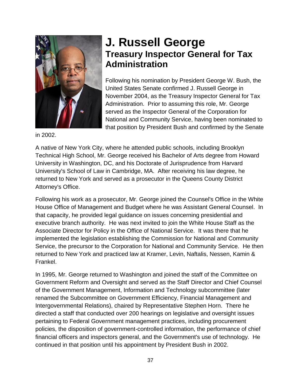

### **J. Russell George Treasury Inspector General for Tax Administration**

Following his nomination by President George W. Bush, the United States Senate confirmed J. Russell George in November 2004, as the Treasury Inspector General for Tax Administration. Prior to assuming this role, Mr. George served as the Inspector General of the Corporation for National and Community Service, having been nominated to that position by President Bush and confirmed by the Senate

in 2002.

A native of New York City, where he attended public schools, including Brooklyn Technical High School, Mr. George received his Bachelor of Arts degree from Howard University in Washington, DC, and his Doctorate of Jurisprudence from Harvard University's School of Law in Cambridge, MA. After receiving his law degree, he returned to New York and served as a prosecutor in the Queens County District Attorney's Office.

Following his work as a prosecutor, Mr. George joined the Counsel's Office in the White House Office of Management and Budget where he was Assistant General Counsel. In that capacity, he provided legal guidance on issues concerning presidential and executive branch authority. He was next invited to join the White House Staff as the Associate Director for Policy in the Office of National Service. It was there that he implemented the legislation establishing the Commission for National and Community Service, the precursor to the Corporation for National and Community Service. He then returned to New York and practiced law at Kramer, Levin, Naftalis, Nessen, Kamin & Frankel.

In 1995, Mr. George returned to Washington and joined the staff of the Committee on Government Reform and Oversight and served as the Staff Director and Chief Counsel of the Government Management, Information and Technology subcommittee (later renamed the Subcommittee on Government Efficiency, Financial Management and Intergovernmental Relations), chaired by Representative Stephen Horn. There he directed a staff that conducted over 200 hearings on legislative and oversight issues pertaining to Federal Government management practices, including procurement policies, the disposition of government-controlled information, the performance of chief financial officers and inspectors general, and the Government's use of technology. He continued in that position until his appointment by President Bush in 2002.